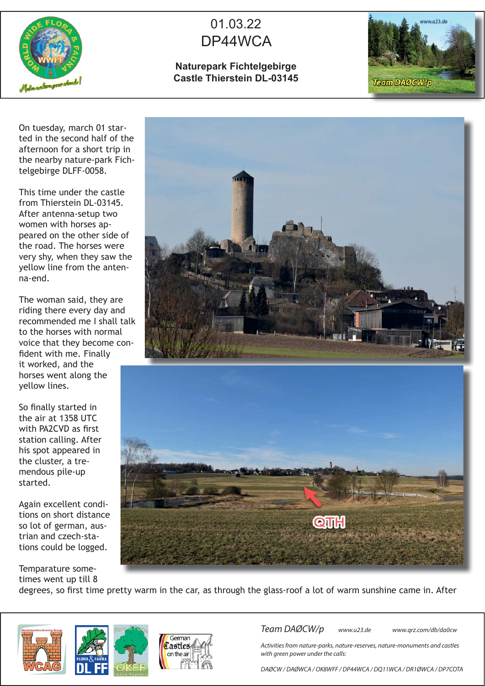

## 01.03.22 DP44WCA

## **Naturepark Fichtelgebirge Castle Thierstein DL-03145**



On tuesday, march 01 started in the second half of the afternoon for a short trip in the nearby nature-park Fichtelgebirge DLFF-0058.

This time under the castle from Thierstein DL-03145. After antenna-setup two women with horses appeared on the other side of the road. The horses were very shy, when they saw the yellow line from the antenna-end.

The woman said, they are riding there every day and recommended me I shall talk to the horses with normal voice that they become confident with me. Finally it worked, and the horses went along the yellow lines.

So finally started in the air at 1358 UTC with PA2CVD as first station calling. After his spot appeared in the cluster, a tremendous pile-up started.

Again excellent conditions on short distance so lot of german, austrian and czech-stations could be logged.

Temparature sometimes went up till 8

degrees, so first time pretty warm in the car, as through the glass-roof a lot of warm sunshine came in. After







Team DAØCW/p www.u23.de www.qrz.com/db/da0cw

Activities from nature-parks, nature-reserves, nature-monuments and castles with green power under the calls:

DAØCW / DAØWCA / OK8WFF / DP44WCA / DQ11WCA / DR1ØWCA / DP7COTA